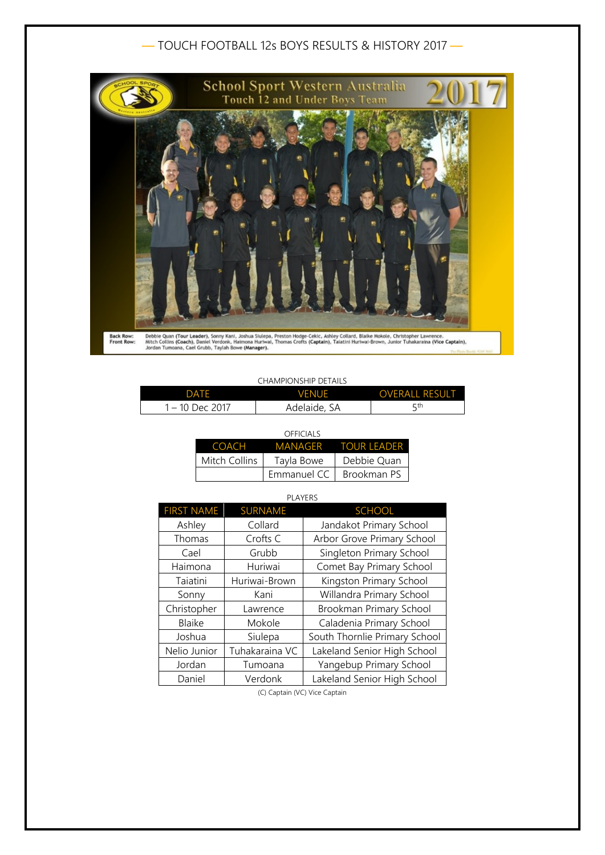# — TOUCH FOOTBALL 12s BOYS RESULTS & HISTORY 2017 —



#### CHAMPIONSHIP DETAILS

| <b>DATE</b>   | <b>VENUE</b> | <b>OVERALL RESULT</b> |
|---------------|--------------|-----------------------|
| – 10 Dec 2017 | Adelaide, SA | ςth                   |

|               | <b>OFFICIALS</b> |                     |
|---------------|------------------|---------------------|
| COACH         |                  | MANAGER TOUR LEADER |
| Mitch Collins | Tayla Bowe       | Debbie Quan         |
|               | Emmanuel CC      | Brookman PS         |

| <b>PLAYERS</b>    |                |                               |  |
|-------------------|----------------|-------------------------------|--|
| <b>FIRST NAME</b> | <b>SURNAME</b> | <b>SCHOOL</b>                 |  |
| Ashley            | Collard        | Jandakot Primary School       |  |
| Thomas            | Crofts C       | Arbor Grove Primary School    |  |
| Cael              | Grubb          | Singleton Primary School      |  |
| Haimona           | Huriwai        | Comet Bay Primary School      |  |
| Taiatini          | Huriwai-Brown  | Kingston Primary School       |  |
| Sonny             | Kani           | Willandra Primary School      |  |
| Christopher       | Lawrence       | Brookman Primary School       |  |
| <b>Blaike</b>     | Mokole         | Caladenia Primary School      |  |
| Joshua            | Siulepa        | South Thornlie Primary School |  |
| Nelio Junior      | Tuhakaraina VC | Lakeland Senior High School   |  |
| Jordan            | Tumoana        | Yangebup Primary School       |  |
| Daniel            | Verdonk        | Lakeland Senior High School   |  |

(C) Captain (VC) Vice Captain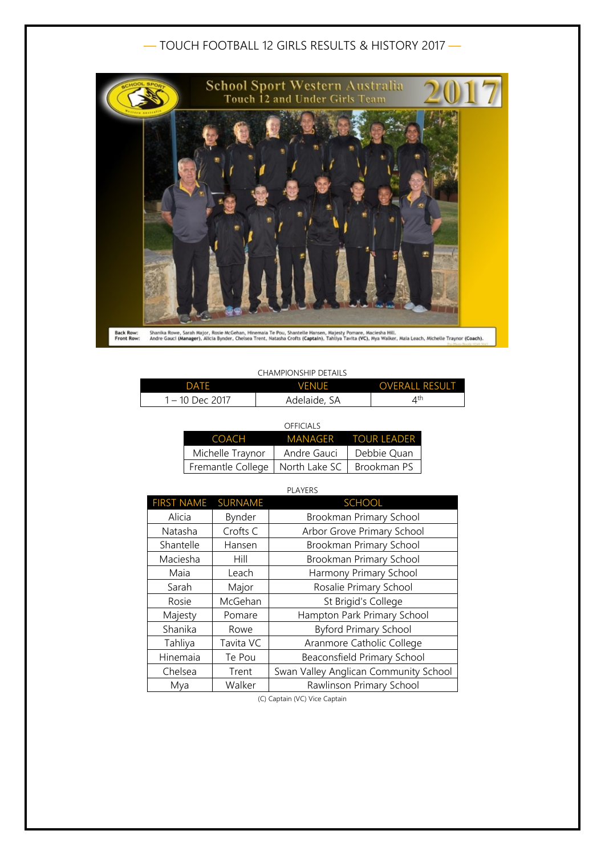## — TOUCH FOOTBALL 12 GIRLS RESULTS & HISTORY 2017 —



#### CHAMPIONSHIP DETAILS

| DATE            | VFNUF        | <b>OVERALL RESULT</b> |
|-----------------|--------------|-----------------------|
| 1 – 10 Dec 2017 | Adelaide, SA |                       |

| OFFICIALS                                       |                     |
|-------------------------------------------------|---------------------|
|                                                 | MANAGER TOUR LEADER |
| Andre Gauci                                     | Debbie Quan         |
| Fremantle College   North Lake SC   Brookman PS |                     |
|                                                 |                     |

| <b>PLAYERS</b>    |                |                                       |
|-------------------|----------------|---------------------------------------|
| <b>FIRST NAME</b> | <b>SURNAME</b> | <b>SCHOOL</b>                         |
| Alicia            | Bynder         | Brookman Primary School               |
| Natasha           | Crofts C       | Arbor Grove Primary School            |
| Shantelle         | Hansen         | Brookman Primary School               |
| Maciesha          | Hill           | Brookman Primary School               |
| Maia              | Leach          | Harmony Primary School                |
| Sarah             | Major          | Rosalie Primary School                |
| Rosie             | McGehan        | St Brigid's College                   |
| Majesty           | Pomare         | Hampton Park Primary School           |
| Shanika           | Rowe           | <b>Byford Primary School</b>          |
| Tahliya           | Tavita VC      | Aranmore Catholic College             |
| Hinemaia          | Te Pou         | Beaconsfield Primary School           |
| Chelsea           | Trent          | Swan Valley Anglican Community School |
| Mya               | Walker         | Rawlinson Primary School              |

(C) Captain (VC) Vice Captain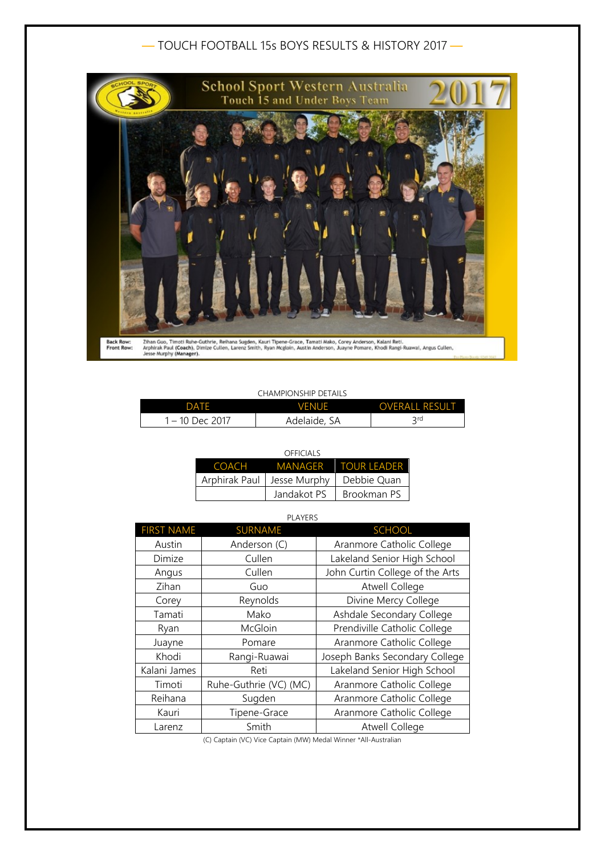# — TOUCH FOOTBALL 15s BOYS RESULTS & HISTORY 2017 —



#### CHAMPIONSHIP DETAILS

| DATE            | <b>VENUE</b> | <b>OVERALL RESULT</b> |
|-----------------|--------------|-----------------------|
| 1 – 10 Dec 2017 | Adelaide, SA | <b>Qrd</b>            |

|       | OFFICIALS                    |                     |
|-------|------------------------------|---------------------|
| COACH |                              | MANAGER TOUR LEADER |
|       | Arphirak Paul   Jesse Murphy | Debbie Quan         |
|       | Jandakot PS                  | Brookman PS         |

| <b>PLAYERS</b>    |                        |                                 |
|-------------------|------------------------|---------------------------------|
| <b>FIRST NAME</b> | <b>SURNAME</b>         | <b>SCHOOL</b>                   |
| Austin            | Anderson (C)           | Aranmore Catholic College       |
| Dimize            | Cullen                 | Lakeland Senior High School     |
| Angus             | Cullen                 | John Curtin College of the Arts |
| Zihan             | Guo                    | <b>Atwell College</b>           |
| Corey             | Reynolds               | Divine Mercy College            |
| Tamati            | Mako                   | Ashdale Secondary College       |
| Ryan              | McGloin                | Prendiville Catholic College    |
| Juayne            | Pomare                 | Aranmore Catholic College       |
| Khodi             | Rangi-Ruawai           | Joseph Banks Secondary College  |
| Kalani James      | Reti                   | Lakeland Senior High School     |
| Timoti            | Ruhe-Guthrie (VC) (MC) | Aranmore Catholic College       |
| Reihana           | Sugden                 | Aranmore Catholic College       |
| Kauri             | Tipene-Grace           | Aranmore Catholic College       |
| Larenz            | Smith                  | <b>Atwell College</b>           |

(C) Captain (VC) Vice Captain (MW) Medal Winner \*All-Australian